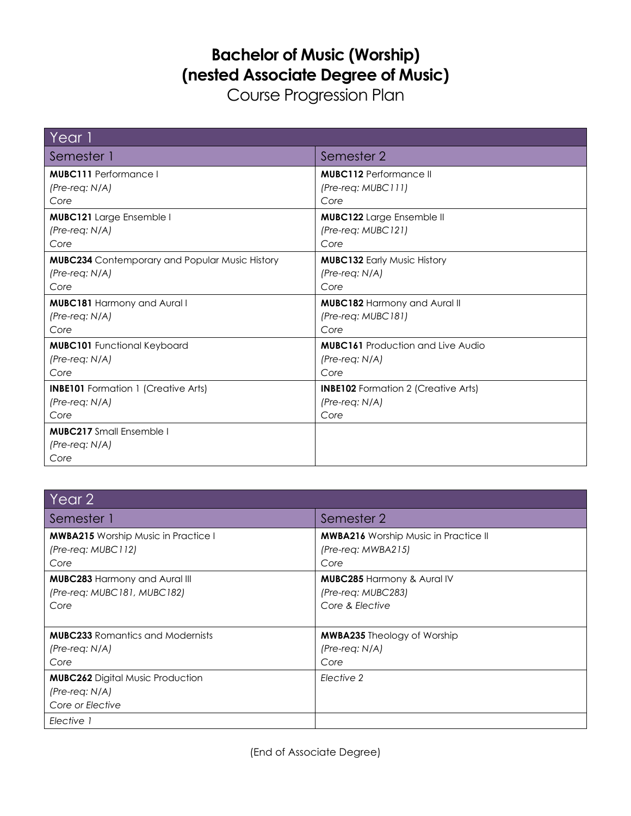## **Bachelor of Music (Worship) (nested Associate Degree of Music)**

Course Progression Plan

| Year 1                                                      |                                            |
|-------------------------------------------------------------|--------------------------------------------|
| Semester 1                                                  | Semester 2                                 |
| <b>MUBC111</b> Performance I                                | <b>MUBC112</b> Performance II              |
| $(Pre-reg: N/A)$                                            | $(Pre-reg: MUBCIII)$                       |
| Core                                                        | Core                                       |
| <b>MUBC121</b> Large Ensemble I                             | <b>MUBC122</b> Large Ensemble II           |
| $(Pre-reg: N/A)$                                            | $(Pre-reg: MUBC121)$                       |
| Core                                                        | Core                                       |
| <b>MUBC234</b> Contemporary and Popular Music History       | <b>MUBC132 Early Music History</b>         |
| $(Pre-reg: N/A)$                                            | $(Pre-reg: N/A)$                           |
| Core                                                        | Core                                       |
| <b>MUBC181 Harmony and Aural I</b>                          | <b>MUBC182 Harmony and Aural II</b>        |
| $(Pre-reg: N/A)$                                            | $(Pre-reg: MUBC181)$                       |
| Core                                                        | Core                                       |
| <b>MUBC101</b> Functional Keyboard                          | <b>MUBC161</b> Production and Live Audio   |
| $(Pre-reg: N/A)$                                            | $(Pre-reg: N/A)$                           |
| Core                                                        | Core                                       |
| <b>INBE101</b> Formation 1 (Creative Arts)                  | <b>INBE102</b> Formation 2 (Creative Arts) |
| $(Pre-reg: N/A)$                                            | (Pre-req: N/A)                             |
| Core                                                        | Core                                       |
| <b>MUBC217</b> Small Ensemble I<br>$(Pre-reg: N/A)$<br>Core |                                            |

| Year 2                                                                          |                                                                                |
|---------------------------------------------------------------------------------|--------------------------------------------------------------------------------|
| Semester 1                                                                      | Semester 2                                                                     |
| <b>MWBA215</b> Worship Music in Practice I<br>(Pre-reg: MUBC112)<br>Core        | <b>MWBA216</b> Worship Music in Practice II<br>$(Pre-reg: MWBA215)$<br>Core    |
| <b>MUBC283 Harmony and Aural III</b><br>(Pre-req: MUBC181, MUBC182)<br>Core     | <b>MUBC285 Harmony &amp; Aural IV</b><br>(Pre-req: MUBC283)<br>Core & Elective |
| <b>MUBC233</b> Romantics and Modernists<br>$(Pre-reg: N/A)$<br>Core             | <b>MWBA235</b> Theology of Worship<br>$(Pre-reg: N/A)$<br>Core                 |
| <b>MUBC262</b> Digital Music Production<br>$(Pre-reg: N/A)$<br>Core or Elective | Elective 2                                                                     |
| Elective 1                                                                      |                                                                                |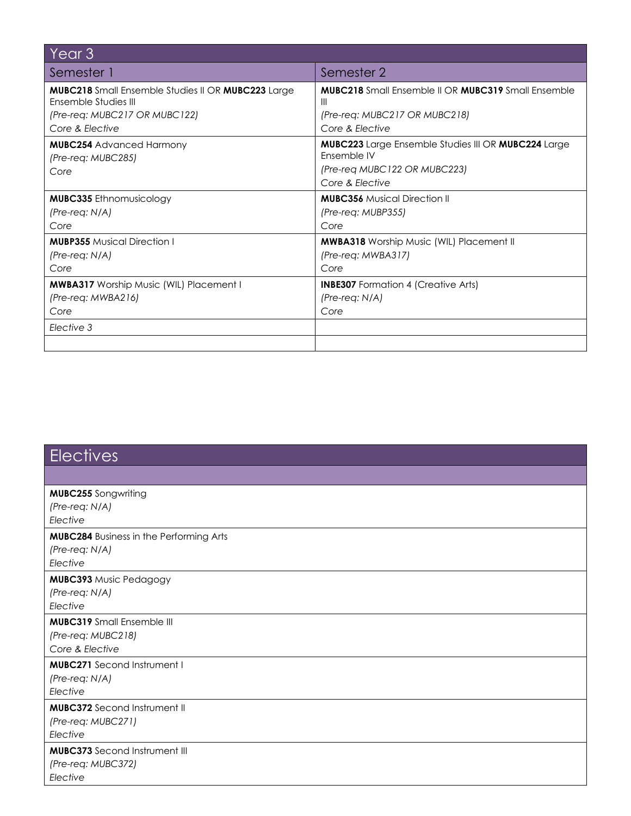| Year <sub>3</sub>                                                                            |                                                                                                                       |  |
|----------------------------------------------------------------------------------------------|-----------------------------------------------------------------------------------------------------------------------|--|
| Semester 1                                                                                   | Semester 2                                                                                                            |  |
| <b>MUBC218</b> Small Ensemble Studies II OR <b>MUBC223</b> Large<br>Ensemble Studies III     | <b>MUBC218</b> Small Ensemble II OR <b>MUBC319</b> Small Ensemble<br>Ш                                                |  |
| (Pre-req: MUBC217 OR MUBC122)                                                                | (Pre-req: MUBC217 OR MUBC218)                                                                                         |  |
| Core & Elective                                                                              | Core & Elective                                                                                                       |  |
| <b>MUBC254</b> Advanced Harmony<br>(Pre-req: MUBC285)<br>Core                                | MUBC223 Large Ensemble Studies III OR MUBC224 Large<br>Fnsemble IV<br>(Pre-req MUBC122 OR MUBC223)<br>Core & Elective |  |
| <b>MUBC335</b> Ethnomusicology<br>$(Pre-reg: N/A)$<br>Core                                   | <b>MUBC356</b> Musical Direction II<br>(Pre-reg: MUBP355)<br>Core                                                     |  |
| <b>MUBP355</b> Musical Direction I<br>$(Pre-reg: N/A)$<br>Core                               | <b>MWBA318</b> Worship Music (WIL) Placement II<br>(Pre-req: MWBA317)<br>Core                                         |  |
| <b>MWBA317</b> Worship Music (WIL) Placement I<br>$(Pre-reg: MWBA216)$<br>Core<br>Elective 3 | <b>INBE307</b> Formation 4 (Creative Arts)<br>$(Pre-reg: N/A)$<br>Core                                                |  |
|                                                                                              |                                                                                                                       |  |

| <b>Electives</b>                               |
|------------------------------------------------|
|                                                |
| <b>MUBC255</b> Songwriting                     |
| (Pre-req: N/A)                                 |
| Elective                                       |
| <b>MUBC284 Business in the Performing Arts</b> |
| $(Pre-reg: N/A)$                               |
| Elective                                       |
| <b>MUBC393 Music Pedagogy</b>                  |
| $(Pre-reg: N/A)$                               |
| Elective                                       |
| <b>MUBC319</b> Small Ensemble III              |
| (Pre-req: MUBC218)                             |
| Core & Elective                                |
| <b>MUBC271</b> Second Instrument I             |
| (Pre-req: N/A)                                 |
| Elective                                       |
| <b>MUBC372</b> Second Instrument II            |
| (Pre-req: MUBC271)                             |
| Elective                                       |
| <b>MUBC373</b> Second Instrument III           |
| (Pre-req: MUBC372)                             |
| Elective                                       |
|                                                |